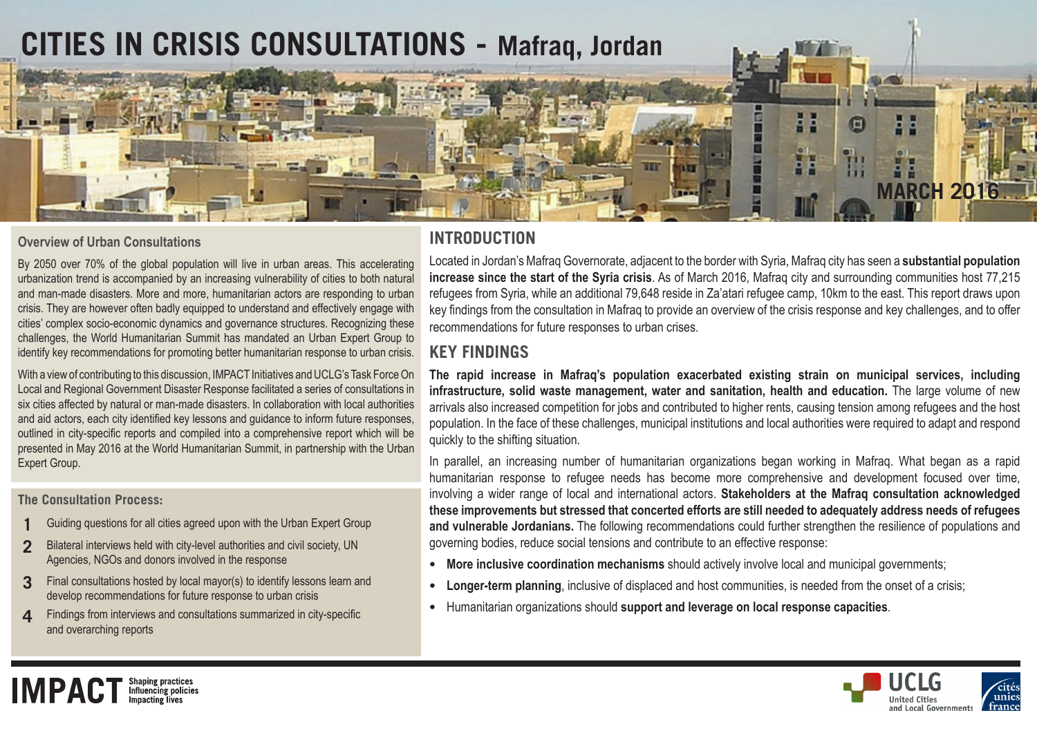

### **Overview of Urban Consultations**

By 2050 over 70% of the global population will live in urban areas. This accelerating urbanization trend is accompanied by an increasing vulnerability of cities to both natural and man-made disasters. More and more, humanitarian actors are responding to urban crisis. They are however often badly equipped to understand and effectively engage with cities' complex socio-economic dynamics and governance structures. Recognizing these challenges, the World Humanitarian Summit has mandated an Urban Expert Group to identify key recommendations for promoting better humanitarian response to urban crisis.

With a view of contributing to this discussion, IMPACT Initiatives and UCLG's Task Force On Local and Regional Government Disaster Response facilitated a series of consultations in six cities affected by natural or man-made disasters. In collaboration with local authorities and aid actors, each city identified key lessons and guidance to inform future responses, outlined in city-specific reports and compiled into a comprehensive report which will be presented in May 2016 at the World Humanitarian Summit, in partnership with the Urban Expert Group.

**The Consultation Process:**

**IMPACT** 

- **1** Guiding questions for all cities agreed upon with the Urban Expert Group
- **2** Bilateral interviews held with city-level authorities and civil society, UN Agencies, NGOs and donors involved in the response
- **3** Final consultations hosted by local mayor(s) to identify lessons learn and develop recommendations for future response to urban crisis
- **4** Findings from interviews and consultations summarized in city-specific and overarching reports

Shaping practices<br>Influencing policies<br>Impacting lives

# **INTRODUCTION**

Located in Jordan's Mafraq Governorate, adjacent to the border with Syria, Mafraq city has seen a **substantial population increase since the start of the Syria crisis**. As of March 2016, Mafraq city and surrounding communities host 77,215 refugees from Syria, while an additional 79,648 reside in Za'atari refugee camp, 10km to the east. This report draws upon key findings from the consultation in Mafraq to provide an overview of the crisis response and key challenges, and to offer recommendations for future responses to urban crises.

## **KEY FINDINGS**

**The rapid increase in Mafraq's population exacerbated existing strain on municipal services, including infrastructure, solid waste management, water and sanitation, health and education.** The large volume of new arrivals also increased competition for jobs and contributed to higher rents, causing tension among refugees and the host population. In the face of these challenges, municipal institutions and local authorities were required to adapt and respond quickly to the shifting situation.

In parallel, an increasing number of humanitarian organizations began working in Mafraq. What began as a rapid humanitarian response to refugee needs has become more comprehensive and development focused over time, involving a wider range of local and international actors. **Stakeholders at the Mafraq consultation acknowledged these improvements but stressed that concerted efforts are still needed to adequately address needs of refugees and vulnerable Jordanians.** The following recommendations could further strengthen the resilience of populations and governing bodies, reduce social tensions and contribute to an effective response:

- **• More inclusive coordination mechanisms** should actively involve local and municipal governments;
- **• Longer-term planning**, inclusive of displaced and host communities, is needed from the onset of a crisis;
- **•** Humanitarian organizations should **support and leverage on local response capacities**.

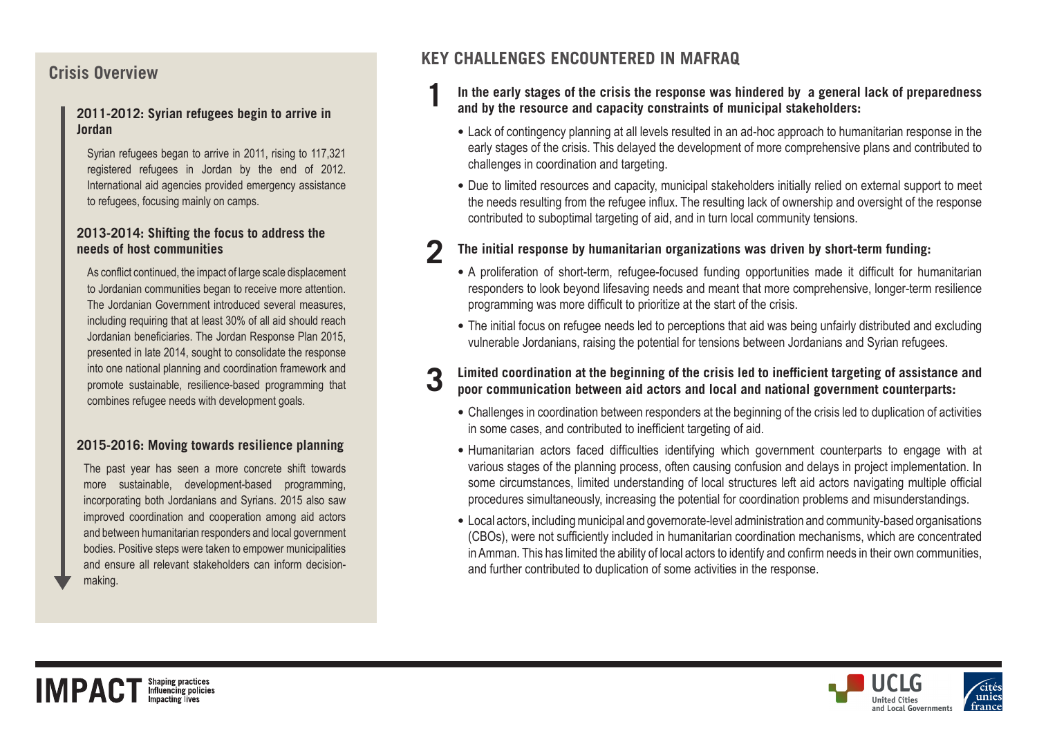# **Crisis Overview**

### **2011-2012: Syrian refugees begin to arrive in Jordan**

Syrian refugees began to arrive in 2011, rising to 117,321 registered refugees in Jordan by the end of 2012. International aid agencies provided emergency assistance to refugees, focusing mainly on camps.

### **2013-2014: Shifting the focus to address the needs of host communities**

As conflict continued, the impact of large scale displacement to Jordanian communities began to receive more attention. The Jordanian Government introduced several measures, including requiring that at least 30% of all aid should reach Jordanian beneficiaries. The Jordan Response Plan 2015, presented in late 2014, sought to consolidate the response into one national planning and coordination framework and promote sustainable, resilience-based programming that combines refugee needs with development goals.

### **2015-2016: Moving towards resilience planning**

The past year has seen a more concrete shift towards more sustainable, development-based programming, incorporating both Jordanians and Syrians. 2015 also saw improved coordination and cooperation among aid actors and between humanitarian responders and local government bodies. Positive steps were taken to empower municipalities and ensure all relevant stakeholders can inform decisionmaking.

# **KEY CHALLENGES ENCOUNTERED IN MAFRAQ**

- **1 In the early stages of the crisis the response was hindered by a general lack of preparedness and by the resource and capacity constraints of municipal stakeholders:**
	- **•** Lack of contingency planning at all levels resulted in an ad-hoc approach to humanitarian response in the early stages of the crisis. This delayed the development of more comprehensive plans and contributed to challenges in coordination and targeting.
	- **•** Due to limited resources and capacity, municipal stakeholders initially relied on external support to meet the needs resulting from the refugee influx. The resulting lack of ownership and oversight of the response contributed to suboptimal targeting of aid, and in turn local community tensions.

### **2 The initial response by humanitarian organizations was driven by short-term funding:**

- **•** A proliferation of short-term, refugee-focused funding opportunities made it difficult for humanitarian responders to look beyond lifesaving needs and meant that more comprehensive, longer-term resilience programming was more difficult to prioritize at the start of the crisis.
- **•** The initial focus on refugee needs led to perceptions that aid was being unfairly distributed and excluding vulnerable Jordanians, raising the potential for tensions between Jordanians and Syrian refugees.

# **3 Limited coordination at the beginning of the crisis led to inefficient targeting of assistance and poor communication between aid actors and local and national government counterparts:**

- **•** Challenges in coordination between responders at the beginning of the crisis led to duplication of activities in some cases, and contributed to inefficient targeting of aid.
- **•** Humanitarian actors faced difficulties identifying which government counterparts to engage with at various stages of the planning process, often causing confusion and delays in project implementation. In some circumstances, limited understanding of local structures left aid actors navigating multiple official procedures simultaneously, increasing the potential for coordination problems and misunderstandings.
- **•** Local actors, including municipal and governorate-level administration and community-based organisations (CBOs), were not sufficiently included in humanitarian coordination mechanisms, which are concentrated in Amman. This has limited the ability of local actors to identify and confirm needs in their own communities, and further contributed to duplication of some activities in the response.

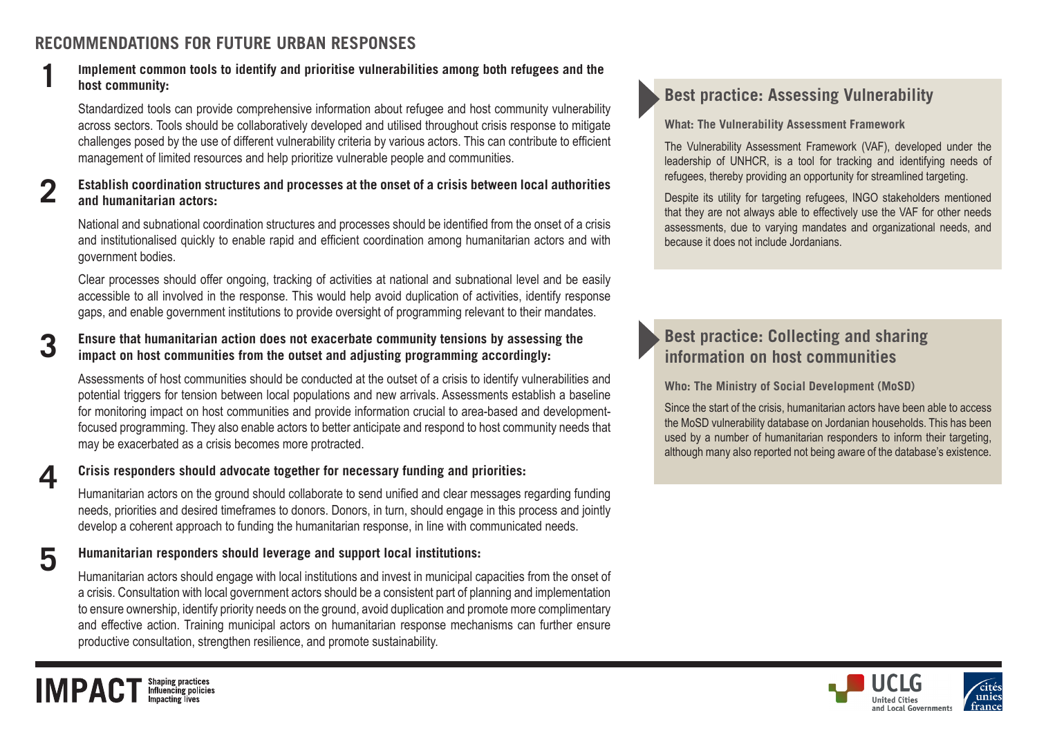# **RECOMMENDATIONS FOR FUTURE URBAN RESPONSES**

### **1 Implement common tools to identify and prioritise vulnerabilities among both refugees and the host community:**

Standardized tools can provide comprehensive information about refugee and host community vulnerability across sectors. Tools should be collaboratively developed and utilised throughout crisis response to mitigate challenges posed by the use of different vulnerability criteria by various actors. This can contribute to efficient management of limited resources and help prioritize vulnerable people and communities.

### **2 Establish coordination structures and processes at the onset of a crisis between local authorities and humanitarian actors:**

National and subnational coordination structures and processes should be identified from the onset of a crisis and institutionalised quickly to enable rapid and efficient coordination among humanitarian actors and with government bodies.

Clear processes should offer ongoing, tracking of activities at national and subnational level and be easily accessible to all involved in the response. This would help avoid duplication of activities, identify response gaps, and enable government institutions to provide oversight of programming relevant to their mandates.

# **3 Ensure that humanitarian action does not exacerbate community tensions by assessing the impact on host communities from the outset and adjusting programming accordingly:**

Assessments of host communities should be conducted at the outset of a crisis to identify vulnerabilities and potential triggers for tension between local populations and new arrivals. Assessments establish a baseline for monitoring impact on host communities and provide information crucial to area-based and developmentfocused programming. They also enable actors to better anticipate and respond to host community needs that may be exacerbated as a crisis becomes more protracted.

**IMPAC** 

# **4 Crisis responders should advocate together for necessary funding and priorities:**

Humanitarian actors on the ground should collaborate to send unified and clear messages regarding funding needs, priorities and desired timeframes to donors. Donors, in turn, should engage in this process and jointly develop a coherent approach to funding the humanitarian response, in line with communicated needs.

# **5 Humanitarian responders should leverage and support local institutions:**

**Shaping practices<br>Influencing policies** 

Humanitarian actors should engage with local institutions and invest in municipal capacities from the onset of a crisis. Consultation with local government actors should be a consistent part of planning and implementation to ensure ownership, identify priority needs on the ground, avoid duplication and promote more complimentary and effective action. Training municipal actors on humanitarian response mechanisms can further ensure productive consultation, strengthen resilience, and promote sustainability.

# **Best practice: Assessing Vulnerability**

### **What: The Vulnerability Assessment Framework**

The Vulnerability Assessment Framework (VAF), developed under the leadership of UNHCR, is a tool for tracking and identifying needs of refugees, thereby providing an opportunity for streamlined targeting.

Despite its utility for targeting refugees, INGO stakeholders mentioned that they are not always able to effectively use the VAF for other needs assessments, due to varying mandates and organizational needs, and because it does not include Jordanians.

# **Best practice: Collecting and sharing information on host communities**

**Who: The Ministry of Social Development (MoSD)**

Since the start of the crisis, humanitarian actors have been able to access the MoSD vulnerability database on Jordanian households. This has been used by a number of humanitarian responders to inform their targeting, although many also reported not being aware of the database's existence.